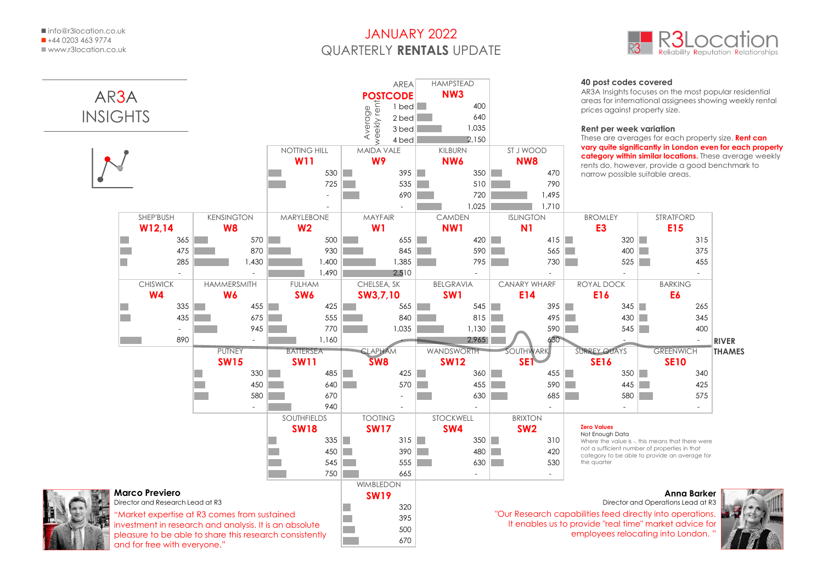## JANUARY 2022 QUARTERLY **RENTALS** UPDATE